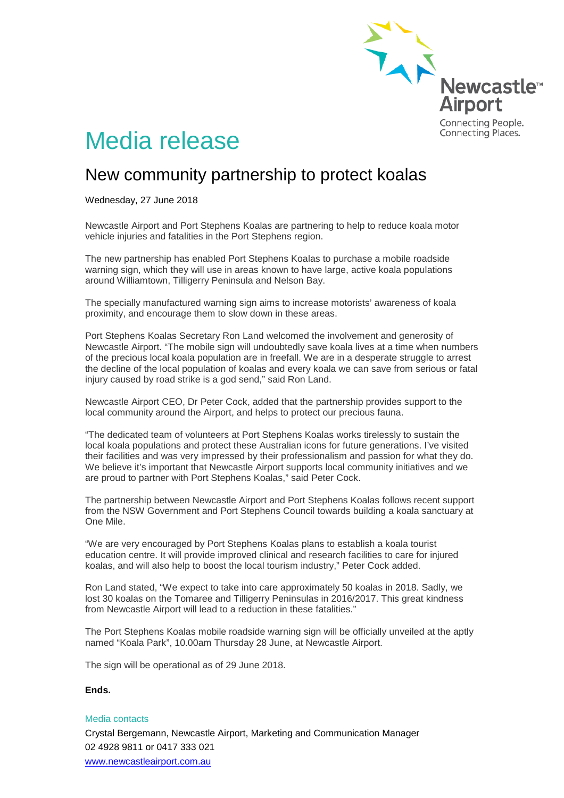

# Media release

## New community partnership to protect koalas

Wednesday, 27 June 2018

Newcastle Airport and Port Stephens Koalas are partnering to help to reduce koala motor vehicle injuries and fatalities in the Port Stephens region.

The new partnership has enabled Port Stephens Koalas to purchase a mobile roadside warning sign, which they will use in areas known to have large, active koala populations around Williamtown, Tilligerry Peninsula and Nelson Bay.

The specially manufactured warning sign aims to increase motorists' awareness of koala proximity, and encourage them to slow down in these areas.

Port Stephens Koalas Secretary Ron Land welcomed the involvement and generosity of Newcastle Airport. "The mobile sign will undoubtedly save koala lives at a time when numbers of the precious local koala population are in freefall. We are in a desperate struggle to arrest the decline of the local population of koalas and every koala we can save from serious or fatal injury caused by road strike is a god send," said Ron Land.

Newcastle Airport CEO, Dr Peter Cock, added that the partnership provides support to the local community around the Airport, and helps to protect our precious fauna.

"The dedicated team of volunteers at Port Stephens Koalas works tirelessly to sustain the local koala populations and protect these Australian icons for future generations. I've visited their facilities and was very impressed by their professionalism and passion for what they do. We believe it's important that Newcastle Airport supports local community initiatives and we are proud to partner with Port Stephens Koalas," said Peter Cock.

The partnership between Newcastle Airport and Port Stephens Koalas follows recent support from the NSW Government and Port Stephens Council towards building a koala sanctuary at One Mile.

"We are very encouraged by Port Stephens Koalas plans to establish a koala tourist education centre. It will provide improved clinical and research facilities to care for injured koalas, and will also help to boost the local tourism industry," Peter Cock added.

Ron Land stated, "We expect to take into care approximately 50 koalas in 2018. Sadly, we lost 30 koalas on the Tomaree and Tilligerry Peninsulas in 2016/2017. This great kindness from Newcastle Airport will lead to a reduction in these fatalities."

The Port Stephens Koalas mobile roadside warning sign will be officially unveiled at the aptly named "Koala Park", 10.00am Thursday 28 June, at Newcastle Airport.

The sign will be operational as of 29 June 2018.

### **Ends.**

#### Media contacts

Crystal Bergemann, Newcastle Airport, Marketing and Communication Manager 02 4928 9811 or 0417 333 021 [www.newcastleairport.com.au](http://www.newcastleairport.com.au/)